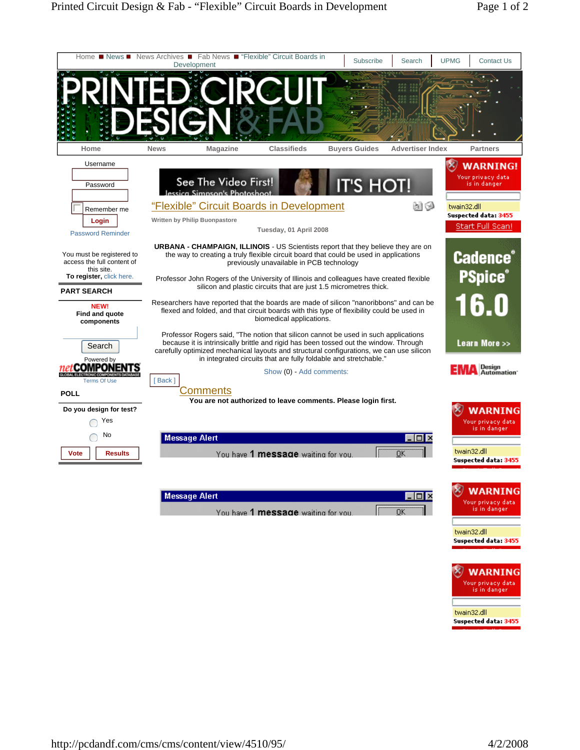